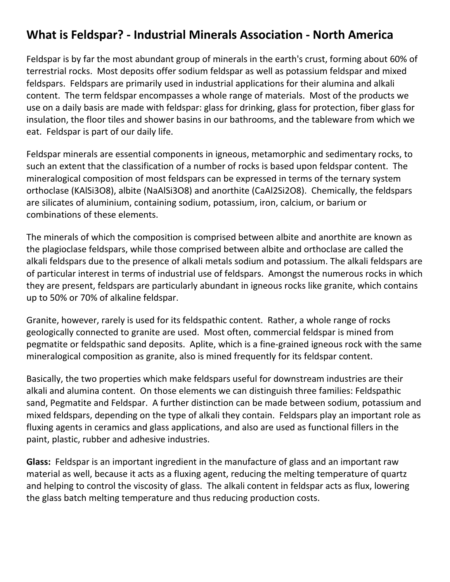## **What is Feldspar? ‐ Industrial Minerals Association ‐ North America**

Feldspar is by far the most abundant group of minerals in the earth's crust, forming about 60% of terrestrial rocks. Most deposits offer sodium feldspar as well as potassium feldspar and mixed feldspars. Feldspars are primarily used in industrial applications for their alumina and alkali content. The term feldspar encompasses a whole range of materials. Most of the products we use on a daily basis are made with feldspar: glass for drinking, glass for protection, fiber glass for insulation, the floor tiles and shower basins in our bathrooms, and the tableware from which we eat. Feldspar is part of our daily life.

Feldspar minerals are essential components in igneous, metamorphic and sedimentary rocks, to such an extent that the classification of a number of rocks is based upon feldspar content. The mineralogical composition of most feldspars can be expressed in terms of the ternary system orthoclase (KAlSi3O8), albite (NaAlSi3O8) and anorthite (CaAl2Si2O8). Chemically, the feldspars are silicates of aluminium, containing sodium, potassium, iron, calcium, or barium or combinations of these elements.

The minerals of which the composition is comprised between albite and anorthite are known as the plagioclase feldspars, while those comprised between albite and orthoclase are called the alkali feldspars due to the presence of alkali metals sodium and potassium. The alkali feldspars are of particular interest in terms of industrial use of feldspars. Amongst the numerous rocks in which they are present, feldspars are particularly abundant in igneous rocks like granite, which contains up to 50% or 70% of alkaline feldspar.

Granite, however, rarely is used for its feldspathic content. Rather, a whole range of rocks geologically connected to granite are used. Most often, commercial feldspar is mined from pegmatite or feldspathic sand deposits. Aplite, which is a fine‐grained igneous rock with the same mineralogical composition as granite, also is mined frequently for its feldspar content.

Basically, the two properties which make feldspars useful for downstream industries are their alkali and alumina content. On those elements we can distinguish three families: Feldspathic sand, Pegmatite and Feldspar. A further distinction can be made between sodium, potassium and mixed feldspars, depending on the type of alkali they contain. Feldspars play an important role as fluxing agents in ceramics and glass applications, and also are used as functional fillers in the paint, plastic, rubber and adhesive industries.

**Glass:** Feldspar is an important ingredient in the manufacture of glass and an important raw material as well, because it acts as a fluxing agent, reducing the melting temperature of quartz and helping to control the viscosity of glass. The alkali content in feldspar acts as flux, lowering the glass batch melting temperature and thus reducing production costs.